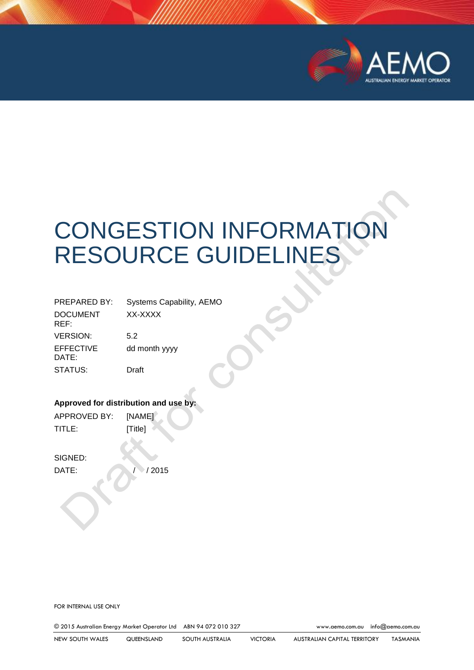

# CONGESTION INFORMATION RESOURCE GUIDELINES

| <b>PREPARED BY:</b>     | Systems Capability, AEMO |  |
|-------------------------|--------------------------|--|
| <b>DOCUMENT</b><br>REF: | XX-XXXX                  |  |
| <b>VERSION:</b>         | 5.2                      |  |
| EFFECTIVE<br>DATE:      | dd month yyyy            |  |
| STATUS:                 | Draft                    |  |

#### **Approved for distribution and use by:**

APPROVED BY: [NAME] TITLE: [Title]

SIGNED:

DATE: / / / 2015

FOR INTERNAL USE ONLY

© 2015 Australian Energy Market Operator Ltd ABN 94 072 010 327 [www.aemo.com.au](http://www.aemo.com.au/) [info@aemo.com.au](mailto:info@aemo.com.au)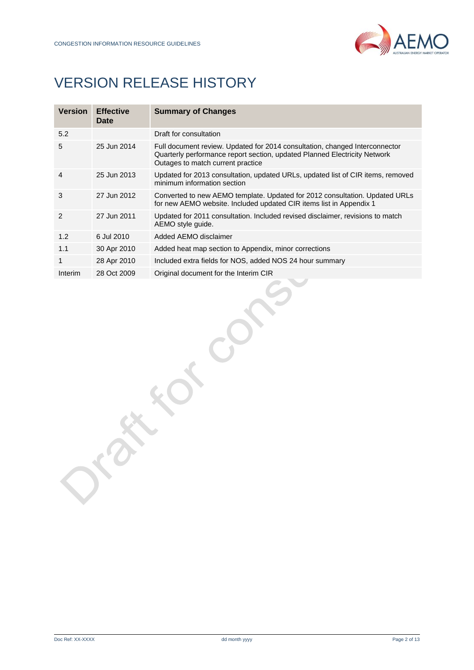

# VERSION RELEASE HISTORY

| <b>Version</b> | <b>Effective</b><br>Date | <b>Summary of Changes</b>                                                                                                                                                                     |
|----------------|--------------------------|-----------------------------------------------------------------------------------------------------------------------------------------------------------------------------------------------|
| 5.2            |                          | Draft for consultation                                                                                                                                                                        |
| 5              | 25 Jun 2014              | Full document review. Updated for 2014 consultation, changed Interconnector<br>Quarterly performance report section, updated Planned Electricity Network<br>Outages to match current practice |
| 4              | 25 Jun 2013              | Updated for 2013 consultation, updated URLs, updated list of CIR items, removed<br>minimum information section                                                                                |
| 3              | 27 Jun 2012              | Converted to new AEMO template. Updated for 2012 consultation. Updated URLs<br>for new AEMO website. Included updated CIR items list in Appendix 1                                            |
| $\mathfrak{p}$ | 27 Jun 2011              | Updated for 2011 consultation. Included revised disclaimer, revisions to match<br>AEMO style quide.                                                                                           |
| 1.2            | 6 Jul 2010               | Added AEMO disclaimer                                                                                                                                                                         |
| 1.1            | 30 Apr 2010              | Added heat map section to Appendix, minor corrections                                                                                                                                         |
| 1              | 28 Apr 2010              | Included extra fields for NOS, added NOS 24 hour summary                                                                                                                                      |
| Interim        | 28 Oct 2009              | Original document for the Interim CIR                                                                                                                                                         |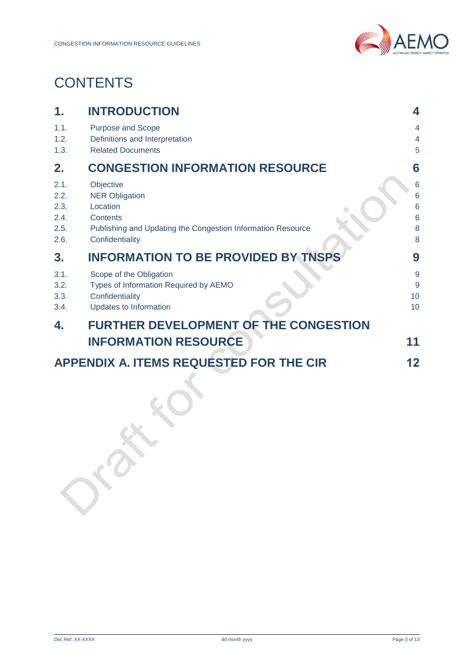# **CONTENTS**

| 1.                                           | <b>INTRODUCTION</b>                                                                                                                          | 4                          |
|----------------------------------------------|----------------------------------------------------------------------------------------------------------------------------------------------|----------------------------|
| 1.1.<br>1.2.                                 | Purpose and Scope<br>Definitions and Interpretation                                                                                          | 4<br>4                     |
| 1.3.                                         | <b>Related Documents</b>                                                                                                                     | 5                          |
| 2.                                           | <b>CONGESTION INFORMATION RESOURCE</b>                                                                                                       | 6                          |
| 2.1.<br>2.2.<br>2.3.<br>2.4.<br>2.5.<br>2.6. | Objective<br><b>NER Obligation</b><br>Location<br>Contents<br>Publishing and Updating the Congestion Information Resource<br>Confidentiality | 6<br>6<br>6<br>6<br>8<br>8 |
| 3.                                           | <b>INFORMATION TO BE PROVIDED BY TNSPS</b>                                                                                                   | 9                          |
| 3.1.<br>3.2.<br>3.3.<br>3.4.                 | Scope of the Obligation<br>Types of Information Required by AEMO<br>Confidentiality<br>Updates to Information                                | 9<br>9<br>10<br>10         |
| 4.                                           | <b>FURTHER DEVELOPMENT OF THE CONGESTION</b><br><b>INFORMATION RESOURCE</b>                                                                  | 11                         |
|                                              | <b>APPENDIX A. ITEMS REQUESTED FOR THE CIR</b>                                                                                               | 12                         |
|                                              |                                                                                                                                              |                            |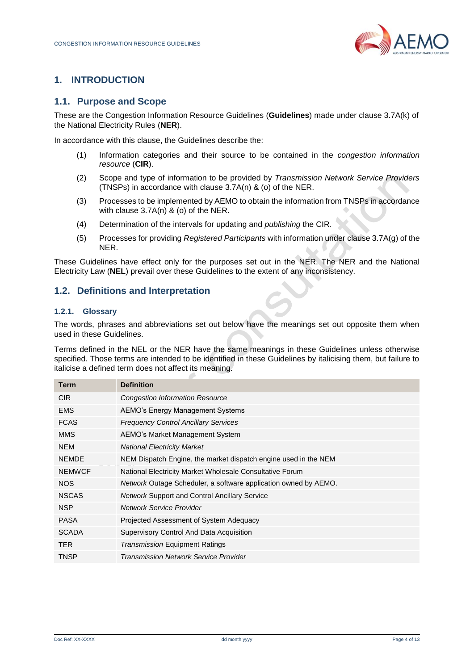

# <span id="page-3-0"></span>**1. INTRODUCTION**

#### <span id="page-3-1"></span>**1.1. Purpose and Scope**

These are the Congestion Information Resource Guidelines (**Guidelines**) made under clause 3.7A(k) of the National Electricity Rules (**NER**).

In accordance with this clause, the Guidelines describe the:

- (1) Information categories and their source to be contained in the *congestion information resource* (**CIR**).
- (2) Scope and type of information to be provided by *Transmission Network Service Providers* (TNSPs) in accordance with clause 3.7A(n) & (o) of the NER.
- (3) Processes to be implemented by AEMO to obtain the information from TNSPs in accordance with clause 3.7A(n) & (o) of the NER.
- (4) Determination of the intervals for updating and *publishing* the CIR.
- (5) Processes for providing *Registered Participants* with information under clause 3.7A(g) of the NER.

These Guidelines have effect only for the purposes set out in the NER. The NER and the National Electricity Law (**NEL**) prevail over these Guidelines to the extent of any inconsistency.

## <span id="page-3-2"></span>**1.2. Definitions and Interpretation**

#### **1.2.1. Glossary**

The words, phrases and abbreviations set out below have the meanings set out opposite them when used in these Guidelines.

Terms defined in the NEL or the NER have the same meanings in these Guidelines unless otherwise specified. Those terms are intended to be identified in these Guidelines by italicising them, but failure to italicise a defined term does not affect its meaning.

| Term          | <b>Definition</b>                                                      |  |
|---------------|------------------------------------------------------------------------|--|
| <b>CIR</b>    | <b>Congestion Information Resource</b>                                 |  |
| <b>EMS</b>    | AEMO's Energy Management Systems                                       |  |
| <b>FCAS</b>   | <b>Frequency Control Ancillary Services</b>                            |  |
| <b>MMS</b>    | AEMO's Market Management System                                        |  |
| <b>NEM</b>    | <b>National Electricity Market</b>                                     |  |
| <b>NEMDE</b>  | NEM Dispatch Engine, the market dispatch engine used in the NEM        |  |
| <b>NEMWCF</b> | National Electricity Market Wholesale Consultative Forum               |  |
| <b>NOS</b>    | <i>Network</i> Outage Scheduler, a software application owned by AEMO. |  |
| <b>NSCAS</b>  | <b>Network Support and Control Ancillary Service</b>                   |  |
| <b>NSP</b>    | Network Service Provider                                               |  |
| <b>PASA</b>   | Projected Assessment of System Adequacy                                |  |
| <b>SCADA</b>  | Supervisory Control And Data Acquisition                               |  |
| TER.          | <b>Transmission Equipment Ratings</b>                                  |  |
| TNSP          | Transmission Network Service Provider                                  |  |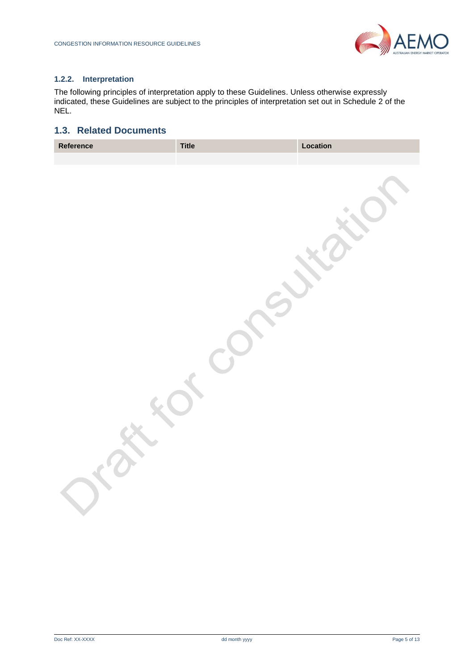

#### **1.2.2. Interpretation**

The following principles of interpretation apply to these Guidelines. Unless otherwise expressly indicated, these Guidelines are subject to the principles of interpretation set out in Schedule 2 of the NEL.

# <span id="page-4-0"></span>**1.3. Related Documents**

| Reference | <b>Title</b> | Location |
|-----------|--------------|----------|
|           |              |          |
|           |              |          |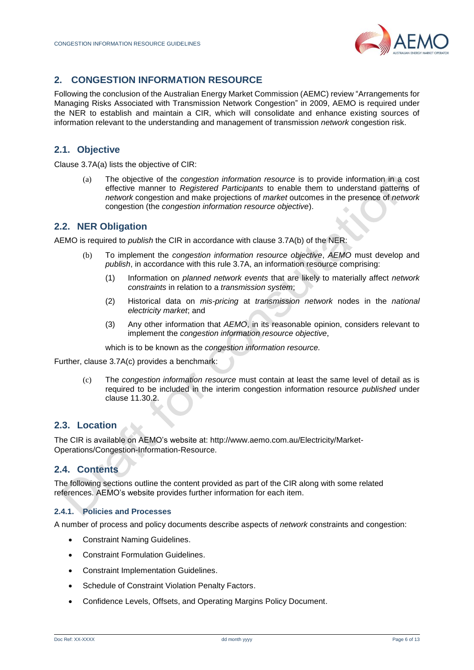

# <span id="page-5-0"></span>**2. CONGESTION INFORMATION RESOURCE**

Following the conclusion of the Australian Energy Market Commission (AEMC) review "Arrangements for Managing Risks Associated with Transmission Network Congestion" in 2009, AEMO is required under the NER to establish and maintain a CIR, which will consolidate and enhance existing sources of information relevant to the understanding and management of transmission *network* congestion risk.

# <span id="page-5-1"></span>**2.1. Objective**

Clause 3.7A(a) lists the objective of CIR:

(a) The objective of the *congestion information resource* is to provide information in a cost effective manner to *Registered Participants* to enable them to understand patterns of *network* congestion and make projections of *market* outcomes in the presence of *network* congestion (the *congestion information resource objective*).

## <span id="page-5-2"></span>**2.2. NER Obligation**

AEMO is required to *publish* the CIR in accordance with clause 3.7A(b) of the NER:

- (b) To implement the *congestion information resource objective*, *AEMO* must develop and *publish*, in accordance with this rule 3.7A, an information resource comprising:
	- (1) Information on *planned network events* that are likely to materially affect *network constraints* in relation to a *transmission system*;
	- (2) Historical data on *mis-pricing* at *transmission network* nodes in the *national electricity market*; and
	- (3) Any other information that *AEMO*, in its reasonable opinion, considers relevant to implement the *congestion information resource objective*,

which is to be known as the *congestion information resource.*

Further, clause 3.7A(c) provides a benchmark:

(c) The *congestion information resource* must contain at least the same level of detail as is required to be included in the interim congestion information resource *published* under clause 11.30.2.

# <span id="page-5-3"></span>**2.3. Location**

The CIR is available on AEMO's website at: [http://www.aemo.com.au/Electricity/Market-](http://www.aemo.com.au/Electricity/Market-Operations/Congestion-Information-Resource)[Operations/Congestion-Information-Resource.](http://www.aemo.com.au/Electricity/Market-Operations/Congestion-Information-Resource)

# <span id="page-5-4"></span>**2.4. Contents**

The following sections outline the content provided as part of the CIR along with some related references. AEMO's website provides further information for each item.

#### **2.4.1. Policies and Processes**

A number of process and policy documents describe aspects of *network* constraints and congestion:

- Constraint Naming Guidelines.
- Constraint Formulation Guidelines.
- Constraint Implementation Guidelines.
- Schedule of Constraint Violation Penalty Factors.
- Confidence Levels, Offsets, and Operating Margins Policy Document.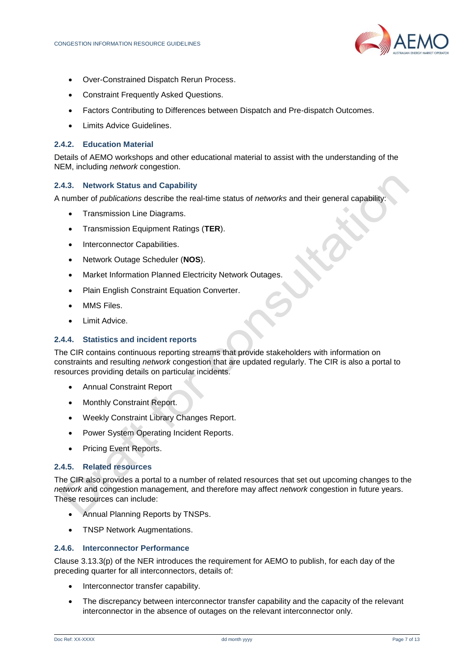

- Over-Constrained Dispatch Rerun Process.
- Constraint Frequently Asked Questions.
- Factors Contributing to Differences between Dispatch and Pre-dispatch Outcomes.
- Limits Advice Guidelines.

#### **2.4.2. Education Material**

Details of AEMO workshops and other educational material to assist with the understanding of the NEM, including *network* congestion.

#### **2.4.3. Network Status and Capability**

A number of *publications* describe the real-time status of *networks* and their general capability:

- Transmission Line Diagrams.
- Transmission Equipment Ratings (**TER**).
- Interconnector Capabilities.
- Network Outage Scheduler (**NOS**).
- Market Information Planned Electricity Network Outages.
- Plain English Constraint Equation Converter.
- MMS Files.
- Limit Advice.

#### **2.4.4. Statistics and incident reports**

The CIR contains continuous reporting streams that provide stakeholders with information on constraints and resulting *network* congestion that are updated regularly. The CIR is also a portal to resources providing details on particular incidents.

- Annual Constraint Report
- Monthly Constraint Report.
- Weekly Constraint Library Changes Report.
- Power System Operating Incident Reports.
- Pricing Event Reports.

#### **2.4.5. Related resources**

The CIR also provides a portal to a number of related resources that set out upcoming changes to the *network* and congestion management*,* and therefore may affect *network* congestion in future years. These resources can include:

- Annual Planning Reports by TNSPs.
- TNSP Network Augmentations.

#### **2.4.6. Interconnector Performance**

Clause 3.13.3(p) of the NER introduces the requirement for AEMO to publish, for each day of the preceding quarter for all interconnectors, details of:

- Interconnector transfer capability.
- The discrepancy between interconnector transfer capability and the capacity of the relevant interconnector in the absence of outages on the relevant interconnector only.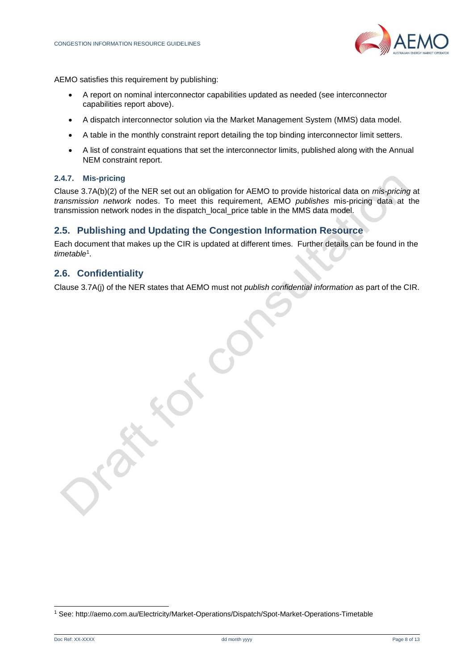

AEMO satisfies this requirement by publishing:

- A report on nominal interconnector capabilities updated as needed (see interconnector capabilities report above).
- A dispatch interconnector solution via the Market Management System (MMS) data model.
- A table in the monthly constraint report detailing the top binding interconnector limit setters.
- A list of constraint equations that set the interconnector limits, published along with the Annual NEM constraint report.

#### **2.4.7. Mis-pricing**

Clause 3.7A(b)(2) of the NER set out an obligation for AEMO to provide historical data on *mis-pricing* at *transmission network* nodes. To meet this requirement, AEMO *publishes* mis-pricing data at the transmission network nodes in the dispatch\_local\_price table in the MMS data model.

#### <span id="page-7-0"></span>**2.5. Publishing and Updating the Congestion Information Resource**

Each document that makes up the CIR is updated at different times. Further details can be found in the *timetable*<sup>1</sup> .

#### <span id="page-7-1"></span>**2.6. Confidentiality**

Clause 3.7A(j) of the NER states that AEMO must not *publish confidential information* as part of the CIR.

l

<sup>1</sup> See:<http://aemo.com.au/Electricity/Market-Operations/Dispatch/Spot-Market-Operations-Timetable>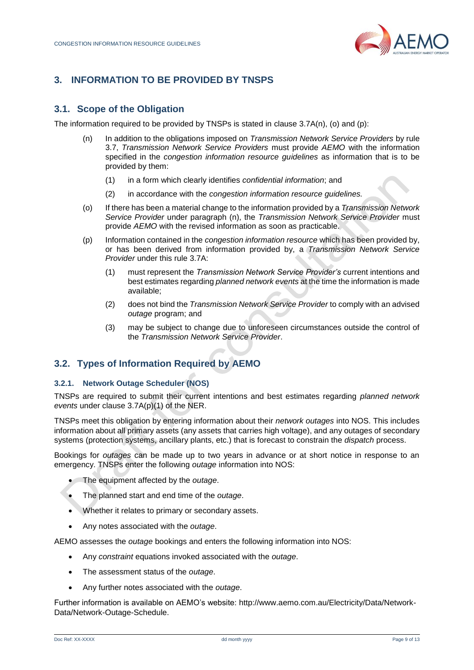

# <span id="page-8-1"></span><span id="page-8-0"></span>**3. INFORMATION TO BE PROVIDED BY TNSPS**

# **3.1. Scope of the Obligation**

The information required to be provided by TNSPs is stated in clause  $3.7A(n)$ , (o) and (p):

- (n) In addition to the obligations imposed on *Transmission Network Service Providers* by rule 3.7, *Transmission Network Service Providers* must provide *AEMO* with the information specified in the *congestion information resource guidelines* as information that is to be provided by them:
	- (1) in a form which clearly identifies *confidential information*; and
	- (2) in accordance with the *congestion information resource guidelines.*
- (o) If there has been a material change to the information provided by a *Transmission Network Service Provider* under paragraph (n), the *Transmission Network Service Provider* must provide *AEMO* with the revised information as soon as practicable.
- (p) Information contained in the *congestion information resource* which has been provided by, or has been derived from information provided by, a *Transmission Network Service Provider* under this rule 3.7A:
	- (1) must represent the *Transmission Network Service Provider's* current intentions and best estimates regarding *planned network events* at the time the information is made available;
	- (2) does not bind the *Transmission Network Service Provider* to comply with an advised *outage* program; and
	- (3) may be subject to change due to unforeseen circumstances outside the control of the *Transmission Network Service Provider*.

# <span id="page-8-2"></span>**3.2. Types of Information Required by AEMO**

#### **3.2.1. Network Outage Scheduler (NOS)**

TNSPs are required to submit their current intentions and best estimates regarding *planned network events* under clause 3.7A(p)(1) of the NER.

TNSPs meet this obligation by entering information about their *network outages* into NOS. This includes information about all primary assets (any assets that carries high voltage), and any outages of secondary systems (protection systems, ancillary plants, etc.) that is forecast to constrain the *dispatch* process.

Bookings for *outages* can be made up to two years in advance or at short notice in response to an emergency. TNSPs enter the following *outage* information into NOS:

- The equipment affected by the *outage*.
- The planned start and end time of the *outage*.
- Whether it relates to primary or secondary assets.
- Any notes associated with the *outage*.

AEMO assesses the *outage* bookings and enters the following information into NOS:

- Any *constraint* equations invoked associated with the *outage*.
- The assessment status of the *outage*.
- Any further notes associated with the *outage*.

Further information is available on AEMO's website: [http://www.aemo.com.au/Electricity/Data/Network-](http://www.aemo.com.au/Electricity/Data/Network-Data/Network-Outage-Schedule)[Data/Network-Outage-Schedule.](http://www.aemo.com.au/Electricity/Data/Network-Data/Network-Outage-Schedule)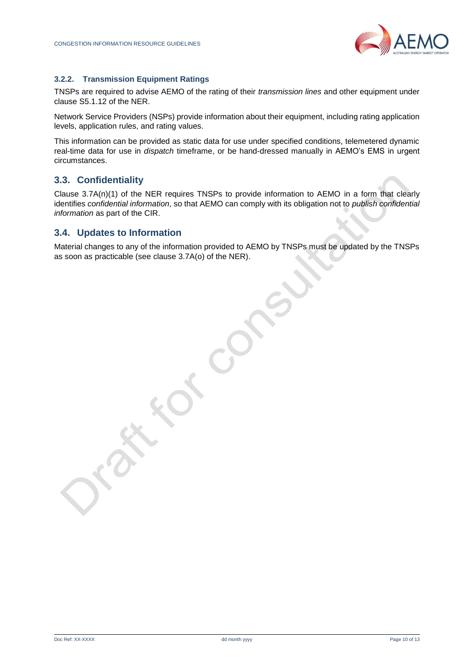

#### **3.2.2. Transmission Equipment Ratings**

TNSPs are required to advise AEMO of the rating of their *transmission lines* and other equipment under clause S5.1.12 of the NER.

Network Service Providers (NSPs) provide information about their equipment, including rating application levels, application rules, and rating values.

This information can be provided as static data for use under specified conditions, telemetered dynamic real-time data for use in *dispatch* timeframe, or be hand-dressed manually in AEMO's EMS in urgent circumstances.

## <span id="page-9-0"></span>**3.3. Confidentiality**

Clause 3.7A(n)(1) of the NER requires TNSPs to provide information to AEMO in a form that clearly identifies *confidential information*, so that AEMO can comply with its obligation not to *publish confidential information* as part of the CIR.

#### <span id="page-9-1"></span>**3.4. Updates to Information**

Material changes to any of the information provided to AEMO by TNSPs must be updated by the TNSPs as soon as practicable (see clause 3.7A(o) of the NER).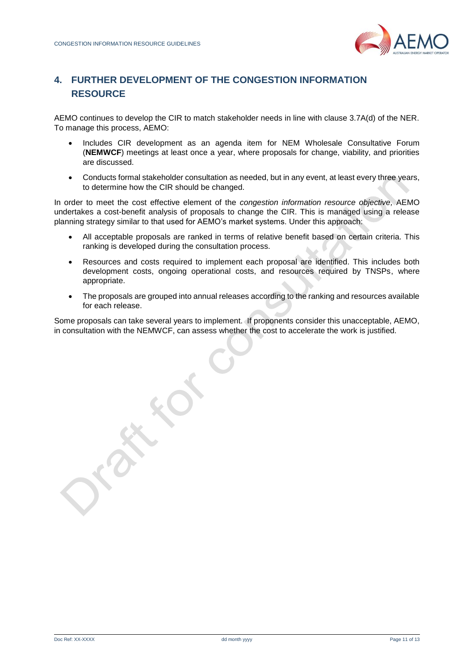

# <span id="page-10-0"></span>**4. FURTHER DEVELOPMENT OF THE CONGESTION INFORMATION RESOURCE**

AEMO continues to develop the CIR to match stakeholder needs in line with clause 3.7A(d) of the NER. To manage this process, AEMO:

- Includes CIR development as an agenda item for NEM Wholesale Consultative Forum (**NEMWCF**) meetings at least once a year, where proposals for change, viability, and priorities are discussed.
- Conducts formal stakeholder consultation as needed, but in any event, at least every three years, to determine how the CIR should be changed.

In order to meet the cost effective element of the *congestion information resource objective,* AEMO undertakes a cost-benefit analysis of proposals to change the CIR. This is managed using a release planning strategy similar to that used for AEMO's market systems. Under this approach:

- All acceptable proposals are ranked in terms of relative benefit based on certain criteria. This ranking is developed during the consultation process.
- Resources and costs required to implement each proposal are identified. This includes both development costs, ongoing operational costs, and resources required by TNSPs, where appropriate.
- The proposals are grouped into annual releases according to the ranking and resources available for each release.

Some proposals can take several years to implement. If proponents consider this unacceptable, AEMO, in consultation with the NEMWCF, can assess whether the cost to accelerate the work is justified.

Doc Ref: XX-XXXX dd month yyyy Page 11 of 13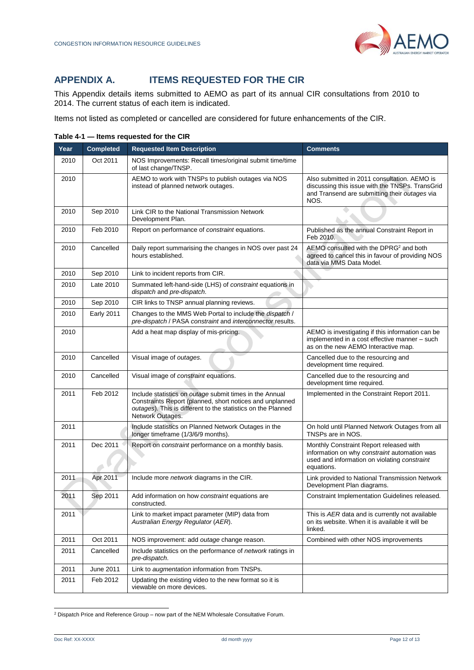# <span id="page-11-0"></span>**APPENDIX A. ITEMS REQUESTED FOR THE CIR**

This Appendix details items submitted to AEMO as part of its annual CIR consultations from 2010 to 2014. The current status of each item is indicated.

Items not listed as completed or cancelled are considered for future enhancements of the CIR.

| Year | <b>Completed</b>  | <b>Requested Item Description</b>                                                                                                                                                                       | <b>Comments</b>                                                                                                                                          |
|------|-------------------|---------------------------------------------------------------------------------------------------------------------------------------------------------------------------------------------------------|----------------------------------------------------------------------------------------------------------------------------------------------------------|
| 2010 | Oct 2011          | NOS Improvements: Recall times/original submit time/time<br>of last change/TNSP.                                                                                                                        |                                                                                                                                                          |
| 2010 |                   | AEMO to work with TNSPs to publish outages via NOS<br>instead of planned network outages.                                                                                                               | Also submitted in 2011 consultation. AEMO is<br>discussing this issue with the TNSPs. TransGrid<br>and Transend are submitting their outages via<br>NOS. |
| 2010 | Sep 2010          | Link CIR to the National Transmission Network<br>Development Plan.                                                                                                                                      |                                                                                                                                                          |
| 2010 | Feb 2010          | Report on performance of constraint equations.                                                                                                                                                          | Published as the annual Constraint Report in<br>Feb 2010.                                                                                                |
| 2010 | Cancelled         | Daily report summarising the changes in NOS over past 24<br>hours established.                                                                                                                          | AEMO consulted with the DPRG <sup>2</sup> and both<br>agreed to cancel this in favour of providing NOS<br>data via MMS Data Model.                       |
| 2010 | Sep 2010          | Link to incident reports from CIR.                                                                                                                                                                      |                                                                                                                                                          |
| 2010 | Late 2010         | Summated left-hand-side (LHS) of constraint equations in<br>dispatch and pre-dispatch.                                                                                                                  |                                                                                                                                                          |
| 2010 | Sep 2010          | CIR links to TNSP annual planning reviews.                                                                                                                                                              |                                                                                                                                                          |
| 2010 | <b>Early 2011</b> | Changes to the MMS Web Portal to include the <i>dispatch</i> /<br>pre-dispatch / PASA constraint and interconnector results.                                                                            |                                                                                                                                                          |
| 2010 |                   | Add a heat map display of mis-pricing.                                                                                                                                                                  | AEMO is investigating if this information can be<br>implemented in a cost effective manner - such<br>as on the new AEMO Interactive map.                 |
| 2010 | Cancelled         | Visual image of outages.                                                                                                                                                                                | Cancelled due to the resourcing and<br>development time required.                                                                                        |
| 2010 | Cancelled         | Visual image of constraint equations.                                                                                                                                                                   | Cancelled due to the resourcing and<br>development time required.                                                                                        |
| 2011 | Feb 2012          | Include statistics on outage submit times in the Annual<br>Constraints Report (planned, short notices and unplanned<br>outages). This is different to the statistics on the Planned<br>Network Outages. | Implemented in the Constraint Report 2011.                                                                                                               |
| 2011 |                   | Include statistics on Planned Network Outages in the<br>longer timeframe (1/3/6/9 months).                                                                                                              | On hold until Planned Network Outages from all<br>TNSPs are in NOS.                                                                                      |
| 2011 | Dec 2011          | Report on <i>constraint</i> performance on a monthly basis.                                                                                                                                             | Monthly Constraint Report released with<br>information on why constraint automation was<br>used and information on violating constraint<br>equations.    |
| 2011 | Apr 2011          | Include more <i>network</i> diagrams in the CIR.                                                                                                                                                        | Link provided to National Transmission Network<br>Development Plan diagrams.                                                                             |
| 2011 | Sep 2011          | Add information on how <i>constraint</i> equations are<br>constructed.                                                                                                                                  | Constraint Implementation Guidelines released.                                                                                                           |
| 2011 |                   | Link to market impact parameter (MIP) data from<br>Australian Energy Regulator (AER).                                                                                                                   | This is AER data and is currently not available<br>on its website. When it is available it will be<br>linked.                                            |
| 2011 | Oct 2011          | NOS improvement: add outage change reason.                                                                                                                                                              | Combined with other NOS improvements                                                                                                                     |
| 2011 | Cancelled         | Include statistics on the performance of <i>network</i> ratings in<br>pre-dispatch.                                                                                                                     |                                                                                                                                                          |
| 2011 | June 2011         | Link to augmentation information from TNSPs.                                                                                                                                                            |                                                                                                                                                          |
| 2011 | Feb 2012          | Updating the existing video to the new format so it is<br>viewable on more devices.                                                                                                                     |                                                                                                                                                          |

**Table 4-1 — Items requested for the CIR**

l

<sup>&</sup>lt;sup>2</sup> Dispatch Price and Reference Group – now part of the NEM Wholesale Consultative Forum.